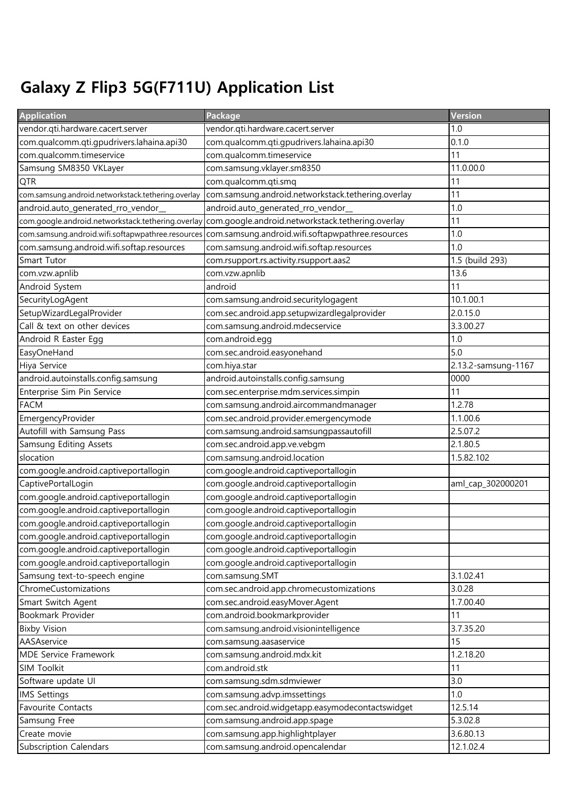## Galaxy Z Flip3 5G(F711U) Application List

| <b>Application</b>                                 | Package                                            | <b>Version</b>      |
|----------------------------------------------------|----------------------------------------------------|---------------------|
| vendor.qti.hardware.cacert.server                  | vendor.qti.hardware.cacert.server                  | 1.0                 |
| com.qualcomm.qti.gpudrivers.lahaina.api30          | com.qualcomm.qti.gpudrivers.lahaina.api30          | 0.1.0               |
| com.qualcomm.timeservice                           | com.qualcomm.timeservice                           | 11                  |
| Samsung SM8350 VKLayer                             | com.samsung.vklayer.sm8350                         | 11.0.00.0           |
| QTR                                                | com.qualcomm.qti.smq                               | 11                  |
| com.samsung.android.networkstack.tethering.overlay | com.samsung.android.networkstack.tethering.overlay | 11                  |
| android.auto_generated_rro_vendor_                 | android.auto_generated_rro_vendor_                 | 1.0                 |
| com.google.android.networkstack.tethering.overlay  | com.google.android.networkstack.tethering.overlay  | 11                  |
| com.samsung.android.wifi.softapwpathree.resources  | com.samsung.android.wifi.softapwpathree.resources  | 1.0                 |
| com.samsung.android.wifi.softap.resources          | com.samsung.android.wifi.softap.resources          | 1.0                 |
| Smart Tutor                                        | com.rsupport.rs.activity.rsupport.aas2             | 1.5 (build 293)     |
| com.vzw.apnlib                                     | com.vzw.apnlib                                     | 13.6                |
| Android System                                     | android                                            | 11                  |
| SecurityLogAgent                                   | com.samsung.android.securitylogagent               | 10.1.00.1           |
| SetupWizardLegalProvider                           | com.sec.android.app.setupwizardlegalprovider       | 2.0.15.0            |
| Call & text on other devices                       | com.samsung.android.mdecservice                    | 3.3.00.27           |
| Android R Easter Egg                               | com.android.egg                                    | 1.0                 |
| EasyOneHand                                        | com.sec.android.easyonehand                        | 5.0                 |
| Hiya Service                                       | com.hiya.star                                      | 2.13.2-samsung-1167 |
| android.autoinstalls.config.samsung                | android.autoinstalls.config.samsung                | 0000                |
| Enterprise Sim Pin Service                         | com.sec.enterprise.mdm.services.simpin             | 11                  |
| <b>FACM</b>                                        | com.samsung.android.aircommandmanager              | 1.2.78              |
| EmergencyProvider                                  | com.sec.android.provider.emergencymode             | 1.1.00.6            |
| Autofill with Samsung Pass                         | com.samsung.android.samsungpassautofill            | 2.5.07.2            |
| Samsung Editing Assets                             | com.sec.android.app.ve.vebgm                       | 2.1.80.5            |
| slocation                                          | com.samsung.android.location                       | 1.5.82.102          |
| com.google.android.captiveportallogin              | com.google.android.captiveportallogin              |                     |
| CaptivePortalLogin                                 | com.google.android.captiveportallogin              | aml_cap_302000201   |
| com.google.android.captiveportallogin              | com.google.android.captiveportallogin              |                     |
| com.google.android.captiveportallogin              | com.google.android.captiveportallogin              |                     |
| com.google.android.captiveportallogin              | com.google.android.captiveportallogin              |                     |
| com.google.android.captiveportallogin              | com.google.android.captiveportallogin              |                     |
| com.google.android.captiveportallogin              | com.google.android.captiveportallogin              |                     |
| com.google.android.captiveportallogin              | com.google.android.captiveportallogin              |                     |
| Samsung text-to-speech engine                      | com.samsung.SMT                                    | 3.1.02.41           |
| ChromeCustomizations                               | com.sec.android.app.chromecustomizations           | 3.0.28              |
| Smart Switch Agent                                 | com.sec.android.easyMover.Agent                    | 1.7.00.40           |
| Bookmark Provider                                  | com.android.bookmarkprovider                       | 11                  |
| <b>Bixby Vision</b>                                | com.samsung.android.visionintelligence             | 3.7.35.20           |
| AASAservice                                        | com.samsung.aasaservice                            | 15                  |
| MDE Service Framework                              | com.samsung.android.mdx.kit                        | 1.2.18.20           |
| SIM Toolkit                                        | com.android.stk                                    | 11                  |
| Software update UI                                 | com.samsung.sdm.sdmviewer                          | 3.0                 |
| <b>IMS Settings</b>                                | com.samsung.advp.imssettings                       | 1.0                 |
| Favourite Contacts                                 | com.sec.android.widgetapp.easymodecontactswidget   | 12.5.14             |
| Samsung Free                                       | com.samsung.android.app.spage                      | 5.3.02.8            |
| Create movie                                       | com.samsung.app.highlightplayer                    | 3.6.80.13           |
| Subscription Calendars                             | com.samsung.android.opencalendar                   | 12.1.02.4           |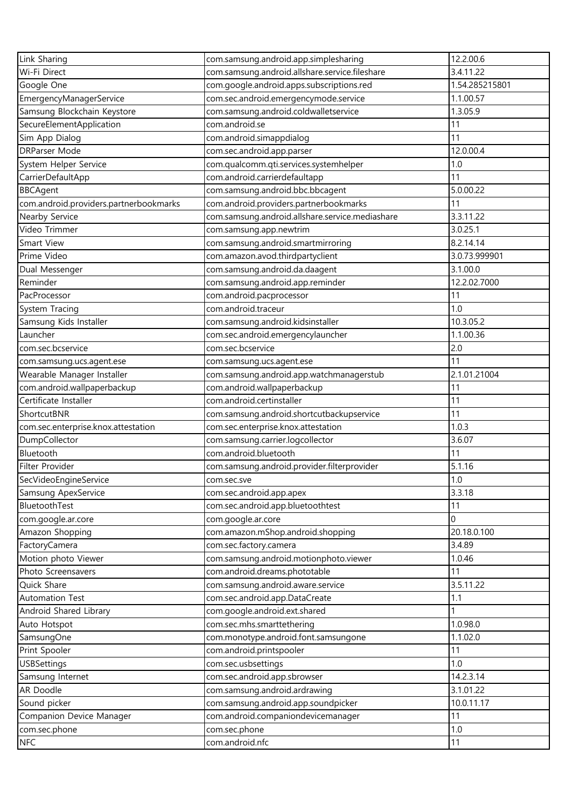| Link Sharing                           | com.samsung.android.app.simplesharing           | 12.2.00.6      |
|----------------------------------------|-------------------------------------------------|----------------|
| Wi-Fi Direct                           | com.samsung.android.allshare.service.fileshare  | 3.4.11.22      |
| Google One                             | com.google.android.apps.subscriptions.red       | 1.54.285215801 |
| EmergencyManagerService                | com.sec.android.emergencymode.service           | 1.1.00.57      |
| Samsung Blockchain Keystore            | com.samsung.android.coldwalletservice           | 1.3.05.9       |
| SecureElementApplication               | com.android.se                                  | 11             |
| Sim App Dialog                         | com.android.simappdialog                        | 11             |
| <b>DRParser Mode</b>                   | com.sec.android.app.parser                      | 12.0.00.4      |
| System Helper Service                  | com.qualcomm.qti.services.systemhelper          | 1.0            |
| CarrierDefaultApp                      | com.android.carrierdefaultapp                   | 11             |
| <b>BBCAgent</b>                        | com.samsung.android.bbc.bbcagent                | 5.0.00.22      |
| com.android.providers.partnerbookmarks | com.android.providers.partnerbookmarks          | 11             |
| Nearby Service                         | com.samsung.android.allshare.service.mediashare | 3.3.11.22      |
| Video Trimmer                          | com.samsung.app.newtrim                         | 3.0.25.1       |
| Smart View                             | com.samsung.android.smartmirroring              | 8.2.14.14      |
| Prime Video                            | com.amazon.avod.thirdpartyclient                | 3.0.73.999901  |
| Dual Messenger                         | com.samsung.android.da.daagent                  | 3.1.00.0       |
| Reminder                               | com.samsung.android.app.reminder                | 12.2.02.7000   |
| PacProcessor                           | com.android.pacprocessor                        | 11             |
| System Tracing                         | com.android.traceur                             | 1.0            |
| Samsung Kids Installer                 | com.samsung.android.kidsinstaller               | 10.3.05.2      |
| Launcher                               | com.sec.android.emergencylauncher               | 1.1.00.36      |
| com.sec.bcservice                      | com.sec.bcservice                               | 2.0            |
| com.samsung.ucs.agent.ese              | com.samsung.ucs.agent.ese                       | 11             |
| Wearable Manager Installer             | com.samsung.android.app.watchmanagerstub        | 2.1.01.21004   |
| com.android.wallpaperbackup            | com.android.wallpaperbackup                     | 11             |
| Certificate Installer                  | com.android.certinstaller                       | 11             |
| ShortcutBNR                            | com.samsung.android.shortcutbackupservice       | 11             |
| com.sec.enterprise.knox.attestation    | com.sec.enterprise.knox.attestation             | 1.0.3          |
| DumpCollector                          | com.samsung.carrier.logcollector                | 3.6.07         |
| Bluetooth                              | com.android.bluetooth                           | 11             |
| Filter Provider                        | com.samsung.android.provider.filterprovider     | 5.1.16         |
| SecVideoEngineService                  | com.sec.sve                                     | 1.0            |
| Samsung ApexService                    | com.sec.android.app.apex                        | 3.3.18         |
| BluetoothTest                          | com.sec.android.app.bluetoothtest               | 11             |
| com.google.ar.core                     | com.google.ar.core                              | 0              |
| Amazon Shopping                        | com.amazon.mShop.android.shopping               | 20.18.0.100    |
| FactoryCamera                          | com.sec.factory.camera                          | 3.4.89         |
| Motion photo Viewer                    | com.samsung.android.motionphoto.viewer          | 1.0.46         |
| Photo Screensavers                     | com.android.dreams.phototable                   | 11             |
| Quick Share                            | com.samsung.android.aware.service               | 3.5.11.22      |
| <b>Automation Test</b>                 | com.sec.android.app.DataCreate                  | 1.1            |
| Android Shared Library                 | com.google.android.ext.shared                   |                |
| Auto Hotspot                           | com.sec.mhs.smarttethering                      | 1.0.98.0       |
| SamsungOne                             | com.monotype.android.font.samsungone            | 1.1.02.0       |
| Print Spooler                          | com.android.printspooler                        | 11             |
| <b>USBSettings</b>                     | com.sec.usbsettings                             | 1.0            |
| Samsung Internet                       | com.sec.android.app.sbrowser                    | 14.2.3.14      |
| AR Doodle                              | com.samsung.android.ardrawing                   | 3.1.01.22      |
| Sound picker                           | com.samsung.android.app.soundpicker             | 10.0.11.17     |
| Companion Device Manager               | com.android.companiondevicemanager              | 11             |
| com.sec.phone                          | com.sec.phone                                   | 1.0            |
| NFC                                    | com.android.nfc                                 | 11             |
|                                        |                                                 |                |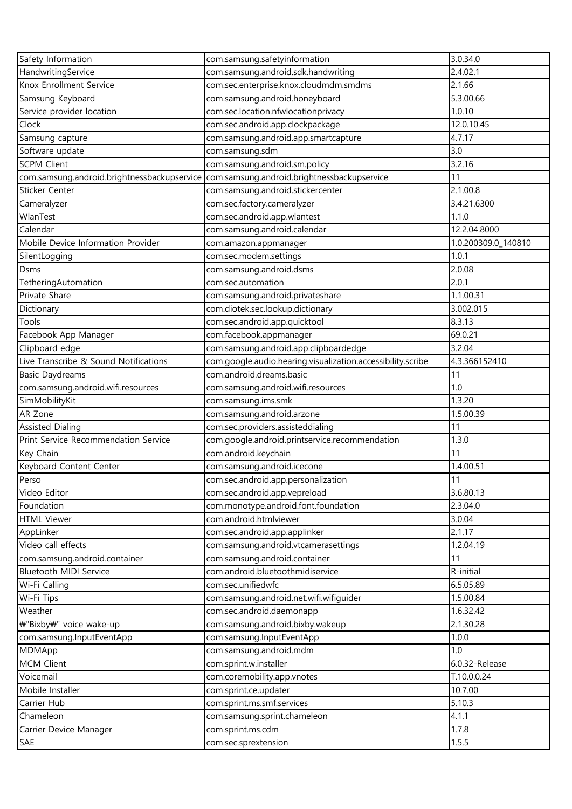| Safety Information                          | com.samsung.safetyinformation                               | 3.0.34.0            |
|---------------------------------------------|-------------------------------------------------------------|---------------------|
| HandwritingService                          | com.samsung.android.sdk.handwriting                         | 2.4.02.1            |
| Knox Enrollment Service                     | com.sec.enterprise.knox.cloudmdm.smdms                      | 2.1.66              |
| Samsung Keyboard                            | com.samsung.android.honeyboard                              | 5.3.00.66           |
| Service provider location                   | com.sec.location.nfwlocationprivacy                         | 1.0.10              |
| Clock                                       | com.sec.android.app.clockpackage                            | 12.0.10.45          |
| Samsung capture                             | com.samsung.android.app.smartcapture                        | 4.7.17              |
| Software update                             | com.samsung.sdm                                             | 3.0                 |
| <b>SCPM Client</b>                          | com.samsung.android.sm.policy                               | 3.2.16              |
| com.samsung.android.brightnessbackupservice | com.samsung.android.brightnessbackupservice                 | 11                  |
| Sticker Center                              | com.samsung.android.stickercenter                           | 2.1.00.8            |
| Cameralyzer                                 | com.sec.factory.cameralyzer                                 | 3.4.21.6300         |
| WlanTest                                    | com.sec.android.app.wlantest                                | 1.1.0               |
| Calendar                                    | com.samsung.android.calendar                                | 12.2.04.8000        |
| Mobile Device Information Provider          | com.amazon.appmanager                                       | 1.0.200309.0_140810 |
| SilentLogging                               | com.sec.modem.settings                                      | 1.0.1               |
| Dsms                                        | com.samsung.android.dsms                                    | 2.0.08              |
| TetheringAutomation                         | com.sec.automation                                          | 2.0.1               |
| Private Share                               | com.samsung.android.privateshare                            | 1.1.00.31           |
| Dictionary                                  | com.diotek.sec.lookup.dictionary                            | 3.002.015           |
| Tools                                       | com.sec.android.app.quicktool                               | 8.3.13              |
| Facebook App Manager                        | com.facebook.appmanager                                     | 69.0.21             |
| Clipboard edge                              | com.samsung.android.app.clipboardedge                       | 3.2.04              |
| Live Transcribe & Sound Notifications       | com.google.audio.hearing.visualization.accessibility.scribe | 4.3.366152410       |
| <b>Basic Daydreams</b>                      | com.android.dreams.basic                                    | 11                  |
| com.samsung.android.wifi.resources          | com.samsung.android.wifi.resources                          | 1.0                 |
| SimMobilityKit                              | com.samsung.ims.smk                                         | 1.3.20              |
| AR Zone                                     | com.samsung.android.arzone                                  | 1.5.00.39           |
| <b>Assisted Dialing</b>                     | com.sec.providers.assisteddialing                           | 11                  |
| Print Service Recommendation Service        | com.google.android.printservice.recommendation              | 1.3.0               |
| Key Chain                                   | com.android.keychain                                        | 11                  |
| Keyboard Content Center                     | com.samsung.android.icecone                                 | 1.4.00.51           |
| Perso                                       | com.sec.android.app.personalization                         | 11                  |
| Video Editor                                | com.sec.android.app.vepreload                               | 3.6.80.13           |
| Foundation                                  | com.monotype.android.font.foundation                        | 2.3.04.0            |
| <b>HTML Viewer</b>                          | com.android.htmlviewer                                      | 3.0.04              |
| AppLinker                                   | com.sec.android.app.applinker                               | 2.1.17              |
| Video call effects                          | com.samsung.android.vtcamerasettings                        | 1.2.04.19           |
| com.samsung.android.container               | com.samsung.android.container                               | 11                  |
| Bluetooth MIDI Service                      | com.android.bluetoothmidiservice                            | R-initial           |
| Wi-Fi Calling                               | com.sec.unifiedwfc                                          | 6.5.05.89           |
| Wi-Fi Tips                                  | com.samsung.android.net.wifi.wifiguider                     | 1.5.00.84           |
| Weather                                     | com.sec.android.daemonapp                                   | 1.6.32.42           |
| ₩"Bixby₩" voice wake-up                     | com.samsung.android.bixby.wakeup                            | 2.1.30.28           |
| com.samsung.InputEventApp                   | com.samsung.InputEventApp                                   | 1.0.0               |
| MDMApp                                      | com.samsung.android.mdm                                     | 1.0                 |
| <b>MCM Client</b>                           | com.sprint.w.installer                                      | 6.0.32-Release      |
| Voicemail                                   | com.coremobility.app.vnotes                                 | T.10.0.0.24         |
| Mobile Installer                            | com.sprint.ce.updater                                       | 10.7.00             |
| Carrier Hub                                 | com.sprint.ms.smf.services                                  | 5.10.3              |
| Chameleon                                   | com.samsung.sprint.chameleon                                | 4.1.1               |
| Carrier Device Manager                      | com.sprint.ms.cdm                                           | 1.7.8               |
| SAE                                         | com.sec.sprextension                                        | 1.5.5               |
|                                             |                                                             |                     |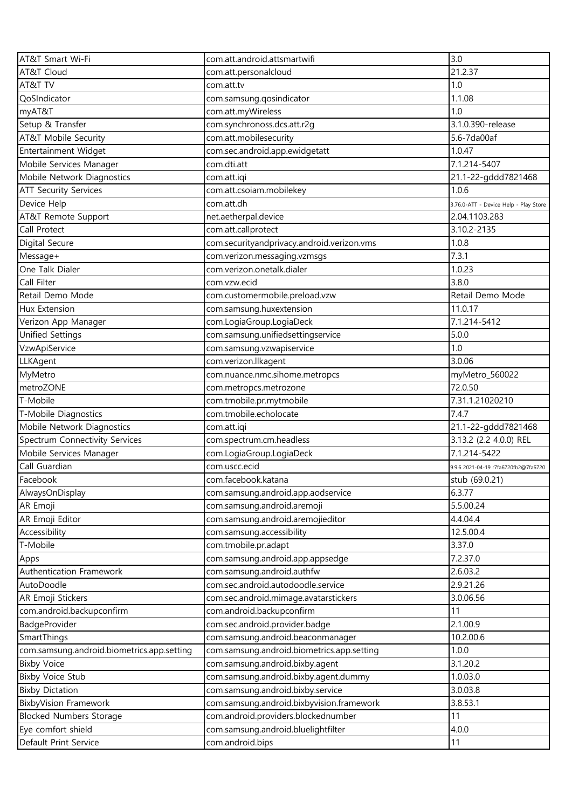| AT&T Smart Wi-Fi                           | com.att.android.attsmartwifi               | 3.0                                   |
|--------------------------------------------|--------------------------------------------|---------------------------------------|
| AT&T Cloud                                 | com.att.personalcloud                      | 21.2.37                               |
| AT&T TV                                    | com.att.tv                                 | 1.0                                   |
| QoSIndicator                               | com.samsung.qosindicator                   | 1.1.08                                |
| myAT&T                                     | com.att.myWireless                         | 1.0                                   |
| Setup & Transfer                           | com.synchronoss.dcs.att.r2g                | 3.1.0.390-release                     |
| AT&T Mobile Security                       | com.att.mobilesecurity                     | 5.6-7da00af                           |
| Entertainment Widget                       | com.sec.android.app.ewidgetatt             | 1.0.47                                |
| Mobile Services Manager                    | com.dti.att                                | 7.1.214-5407                          |
| Mobile Network Diagnostics                 | com.att.iqi                                | 21.1-22-gddd7821468                   |
| <b>ATT Security Services</b>               | com.att.csoiam.mobilekey                   | 1.0.6                                 |
| Device Help                                | com.att.dh                                 | 3.76.0-ATT - Device Help - Play Store |
| AT&T Remote Support                        | net.aetherpal.device                       | 2.04.1103.283                         |
| Call Protect                               | com.att.callprotect                        | 3.10.2-2135                           |
| Digital Secure                             | com.securityandprivacy.android.verizon.vms | 1.0.8                                 |
| Message+                                   | com.verizon.messaging.vzmsgs               | 7.3.1                                 |
| One Talk Dialer                            | com.verizon.onetalk.dialer                 | 1.0.23                                |
| Call Filter                                | com.vzw.ecid                               | 3.8.0                                 |
| Retail Demo Mode                           | com.customermobile.preload.vzw             | Retail Demo Mode                      |
| <b>Hux Extension</b>                       | com.samsung.huxextension                   | 11.0.17                               |
| Verizon App Manager                        | com.LogiaGroup.LogiaDeck                   | 7.1.214-5412                          |
| <b>Unified Settings</b>                    | com.samsung.unifiedsettingservice          | 5.0.0                                 |
| VzwApiService                              | com.samsung.vzwapiservice                  | 1.0                                   |
| LLKAgent                                   | com.verizon.llkagent                       | 3.0.06                                |
| MyMetro                                    | com.nuance.nmc.sihome.metropcs             | myMetro_560022                        |
| metroZONE                                  | com.metropcs.metrozone                     | 72.0.50                               |
| T-Mobile                                   | com.tmobile.pr.mytmobile                   | 7.31.1.21020210                       |
| T-Mobile Diagnostics                       | com.tmobile.echolocate                     | 7.4.7                                 |
| Mobile Network Diagnostics                 | com.att.iqi                                | 21.1-22-gddd7821468                   |
| Spectrum Connectivity Services             | com.spectrum.cm.headless                   | 3.13.2 (2.2 4.0.0) REL                |
| Mobile Services Manager                    | com.LogiaGroup.LogiaDeck                   | 7.1.214-5422                          |
| Call Guardian                              | com.uscc.ecid                              | 9.9.6 2021-04-19 r7fa6720fb2@7fa6720  |
| Facebook                                   | com.facebook.katana                        | stub (69.0.21)                        |
| AlwaysOnDisplay                            | com.samsung.android.app.aodservice         | 6.3.77                                |
| AR Emoji                                   | com.samsung.android.aremoji                | 5.5.00.24                             |
| AR Emoji Editor                            | com.samsung.android.aremojieditor          | 4.4.04.4                              |
| Accessibility                              | com.samsung.accessibility                  | 12.5.00.4                             |
| T-Mobile                                   | com.tmobile.pr.adapt                       | 3.37.0                                |
| Apps                                       | com.samsung.android.app.appsedge           | 7.2.37.0                              |
| Authentication Framework                   | com.samsung.android.authfw                 | 2.6.03.2                              |
| AutoDoodle                                 | com.sec.android.autodoodle.service         | 2.9.21.26                             |
| AR Emoji Stickers                          | com.sec.android.mimage.avatarstickers      | 3.0.06.56                             |
| com.android.backupconfirm                  | com.android.backupconfirm                  | 11                                    |
| BadgeProvider                              | com.sec.android.provider.badge             | 2.1.00.9                              |
| SmartThings                                | com.samsung.android.beaconmanager          | 10.2.00.6                             |
| com.samsung.android.biometrics.app.setting | com.samsung.android.biometrics.app.setting | 1.0.0                                 |
| <b>Bixby Voice</b>                         | com.samsung.android.bixby.agent            | 3.1.20.2                              |
| <b>Bixby Voice Stub</b>                    | com.samsung.android.bixby.agent.dummy      | 1.0.03.0                              |
| <b>Bixby Dictation</b>                     | com.samsung.android.bixby.service          | 3.0.03.8                              |
| <b>BixbyVision Framework</b>               | com.samsung.android.bixbyvision.framework  | 3.8.53.1                              |
| <b>Blocked Numbers Storage</b>             | com.android.providers.blockednumber        | 11                                    |
| Eye comfort shield                         | com.samsung.android.bluelightfilter        | 4.0.0                                 |
| Default Print Service                      | com.android.bips                           | 11                                    |
|                                            |                                            |                                       |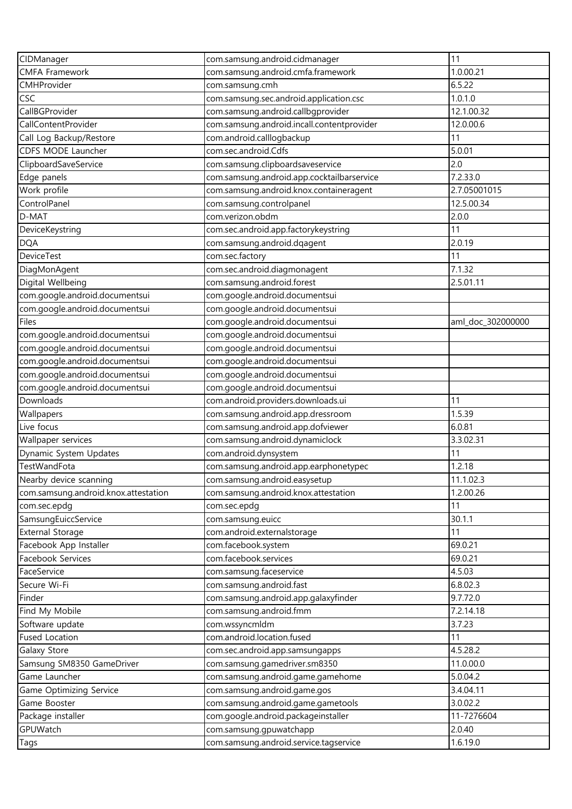| CIDManager                           | com.samsung.android.cidmanager             | 11                |
|--------------------------------------|--------------------------------------------|-------------------|
| <b>CMFA Framework</b>                | com.samsung.android.cmfa.framework         | 1.0.00.21         |
| CMHProvider                          | com.samsung.cmh                            | 6.5.22            |
| <b>CSC</b>                           | com.samsung.sec.android.application.csc    | 1.0.1.0           |
| CallBGProvider                       | com.samsung.android.callbgprovider         | 12.1.00.32        |
| CallContentProvider                  | com.samsung.android.incall.contentprovider | 12.0.00.6         |
| Call Log Backup/Restore              | com.android.calllogbackup                  | 11                |
| CDFS MODE Launcher                   | com.sec.android.Cdfs                       | 5.0.01            |
| ClipboardSaveService                 | com.samsung.clipboardsaveservice           | 2.0               |
| Edge panels                          | com.samsung.android.app.cocktailbarservice | 7.2.33.0          |
| Work profile                         | com.samsung.android.knox.containeragent    | 2.7.05001015      |
| ControlPanel                         | com.samsung.controlpanel                   | 12.5.00.34        |
| D-MAT                                | com.verizon.obdm                           | 2.0.0             |
| DeviceKeystring                      | com.sec.android.app.factorykeystring       | 11                |
| <b>DQA</b>                           | com.samsung.android.dqagent                | 2.0.19            |
| <b>DeviceTest</b>                    | com.sec.factory                            | 11                |
| DiagMonAgent                         | com.sec.android.diagmonagent               | 7.1.32            |
| Digital Wellbeing                    | com.samsung.android.forest                 | 2.5.01.11         |
| com.google.android.documentsui       | com.google.android.documentsui             |                   |
| com.google.android.documentsui       | com.google.android.documentsui             |                   |
| Files                                | com.google.android.documentsui             | aml_doc_302000000 |
| com.google.android.documentsui       | com.google.android.documentsui             |                   |
| com.google.android.documentsui       | com.google.android.documentsui             |                   |
| com.google.android.documentsui       | com.google.android.documentsui             |                   |
| com.google.android.documentsui       | com.google.android.documentsui             |                   |
| com.google.android.documentsui       | com.google.android.documentsui             |                   |
| Downloads                            | com.android.providers.downloads.ui         | 11                |
| Wallpapers                           | com.samsung.android.app.dressroom          | 1.5.39            |
| Live focus                           | com.samsung.android.app.dofviewer          | 6.0.81            |
| Wallpaper services                   | com.samsung.android.dynamiclock            | 3.3.02.31         |
| Dynamic System Updates               | com.android.dynsystem                      | 11                |
| TestWandFota                         | com.samsung.android.app.earphonetypec      | 1.2.18            |
| Nearby device scanning               | com.samsung.android.easysetup              | 11.1.02.3         |
| com.samsung.android.knox.attestation | com.samsung.android.knox.attestation       | 1.2.00.26         |
| com.sec.epdg                         | com.sec.epdg                               | 11                |
| SamsungEuiccService                  | com.samsung.euicc                          | 30.1.1            |
| <b>External Storage</b>              | com.android.externalstorage                | 11                |
| Facebook App Installer               | com.facebook.system                        | 69.0.21           |
| Facebook Services                    | com.facebook.services                      | 69.0.21           |
| FaceService                          | com.samsung.faceservice                    | 4.5.03            |
| Secure Wi-Fi                         | com.samsung.android.fast                   | 6.8.02.3          |
| Finder                               | com.samsung.android.app.galaxyfinder       | 9.7.72.0          |
| Find My Mobile                       | com.samsung.android.fmm                    | 7.2.14.18         |
| Software update                      | com.wssyncmldm                             | 3.7.23            |
| <b>Fused Location</b>                | com.android.location.fused                 | 11                |
| Galaxy Store                         | com.sec.android.app.samsungapps            | 4.5.28.2          |
| Samsung SM8350 GameDriver            | com.samsung.gamedriver.sm8350              | 11.0.00.0         |
| Game Launcher                        | com.samsung.android.game.gamehome          | 5.0.04.2          |
| Game Optimizing Service              | com.samsung.android.game.gos               | 3.4.04.11         |
| Game Booster                         | com.samsung.android.game.gametools         | 3.0.02.2          |
| Package installer                    | com.google.android.packageinstaller        | 11-7276604        |
| GPUWatch                             | com.samsung.gpuwatchapp                    | 2.0.40            |
| Tags                                 | com.samsung.android.service.tagservice     | 1.6.19.0          |
|                                      |                                            |                   |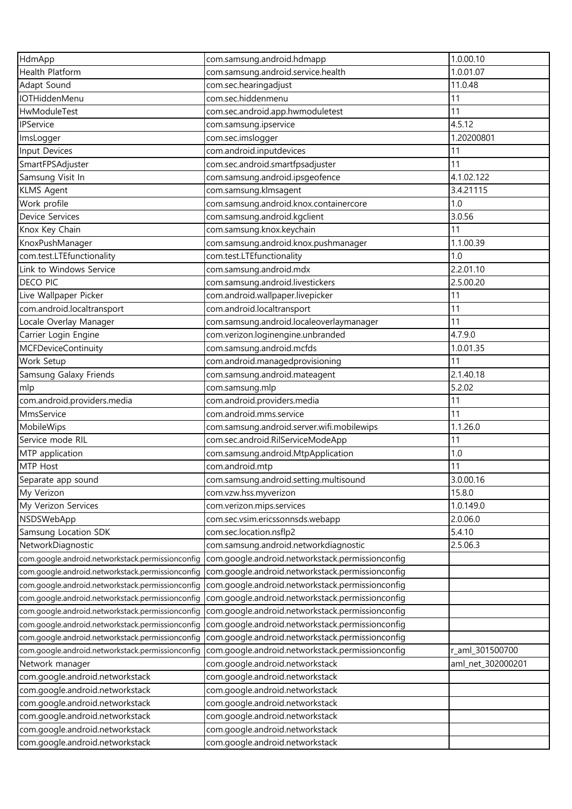| HdmApp                                           | com.samsung.android.hdmapp                       | 1.0.00.10         |
|--------------------------------------------------|--------------------------------------------------|-------------------|
| <b>Health Platform</b>                           | com.samsung.android.service.health               | 1.0.01.07         |
| Adapt Sound                                      | com.sec.hearingadjust                            | 11.0.48           |
| <b>IOTHiddenMenu</b>                             | com.sec.hiddenmenu                               | 11                |
| HwModuleTest                                     | com.sec.android.app.hwmoduletest                 | 11                |
| <b>IPService</b>                                 | com.samsung.ipservice                            | 4.5.12            |
| ImsLogger                                        | com.sec.imslogger                                | 1.20200801        |
| Input Devices                                    | com.android.inputdevices                         | 11                |
| SmartFPSAdjuster                                 | com.sec.android.smartfpsadjuster                 | 11                |
| Samsung Visit In                                 | com.samsung.android.ipsgeofence                  | 4.1.02.122        |
| <b>KLMS Agent</b>                                | com.samsung.klmsagent                            | 3.4.21115         |
| Work profile                                     | com.samsung.android.knox.containercore           | 1.0               |
| <b>Device Services</b>                           | com.samsung.android.kgclient                     | 3.0.56            |
| Knox Key Chain                                   | com.samsung.knox.keychain                        | 11                |
| KnoxPushManager                                  | com.samsung.android.knox.pushmanager             | 1.1.00.39         |
| com.test.LTEfunctionality                        | com.test.LTEfunctionality                        | 1.0               |
| Link to Windows Service                          | com.samsung.android.mdx                          | 2.2.01.10         |
| <b>DECO PIC</b>                                  | com.samsung.android.livestickers                 | 2.5.00.20         |
| Live Wallpaper Picker                            | com.android.wallpaper.livepicker                 | 11                |
| com.android.localtransport                       | com.android.localtransport                       | 11                |
| Locale Overlay Manager                           | com.samsung.android.localeoverlaymanager         | 11                |
| Carrier Login Engine                             | com.verizon.loginengine.unbranded                | 4.7.9.0           |
| <b>MCFDeviceContinuity</b>                       | com.samsung.android.mcfds                        | 1.0.01.35         |
| Work Setup                                       | com.android.managedprovisioning                  | 11                |
| Samsung Galaxy Friends                           | com.samsung.android.mateagent                    | 2.1.40.18         |
|                                                  |                                                  | 5.2.02            |
| mlp<br>com.android.providers.media               | com.samsung.mlp<br>com.android.providers.media   | 11                |
| MmsService                                       | com.android.mms.service                          | 11                |
| MobileWips                                       |                                                  | 1.1.26.0          |
|                                                  | com.samsung.android.server.wifi.mobilewips       |                   |
| Service mode RIL                                 | com.sec.android.RilServiceModeApp                | 11                |
| MTP application                                  | com.samsung.android.MtpApplication               | 1.0               |
| MTP Host                                         | com.android.mtp                                  | 11                |
| Separate app sound                               | com.samsung.android.setting.multisound           | 3.0.00.16         |
| My Verizon                                       | com.vzw.hss.myverizon                            | 15.8.0            |
| My Verizon Services                              | com.verizon.mips.services                        | 1.0.149.0         |
| NSDSWebApp                                       | com.sec.vsim.ericssonnsds.webapp                 | 2.0.06.0          |
| Samsung Location SDK                             | com.sec.location.nsflp2                          | 5.4.10            |
| NetworkDiagnostic                                | com.samsung.android.networkdiagnostic            | 2.5.06.3          |
| com.google.android.networkstack.permissionconfig | com.google.android.networkstack.permissionconfig |                   |
| com.google.android.networkstack.permissionconfig | com.google.android.networkstack.permissionconfig |                   |
| com.google.android.networkstack.permissionconfig | com.google.android.networkstack.permissionconfig |                   |
| com.google.android.networkstack.permissionconfig | com.google.android.networkstack.permissionconfig |                   |
| com.google.android.networkstack.permissionconfig | com.google.android.networkstack.permissionconfig |                   |
| com.google.android.networkstack.permissionconfig | com.google.android.networkstack.permissionconfig |                   |
| com.google.android.networkstack.permissionconfig | com.google.android.networkstack.permissionconfig |                   |
| com.google.android.networkstack.permissionconfiq | com.google.android.networkstack.permissionconfig | r_aml_301500700   |
| Network manager                                  | com.google.android.networkstack                  | aml_net_302000201 |
| com.google.android.networkstack                  | com.google.android.networkstack                  |                   |
| com.google.android.networkstack                  | com.google.android.networkstack                  |                   |
| com.google.android.networkstack                  | com.google.android.networkstack                  |                   |
| com.google.android.networkstack                  | com.google.android.networkstack                  |                   |
| com.google.android.networkstack                  | com.google.android.networkstack                  |                   |
| com.google.android.networkstack                  | com.google.android.networkstack                  |                   |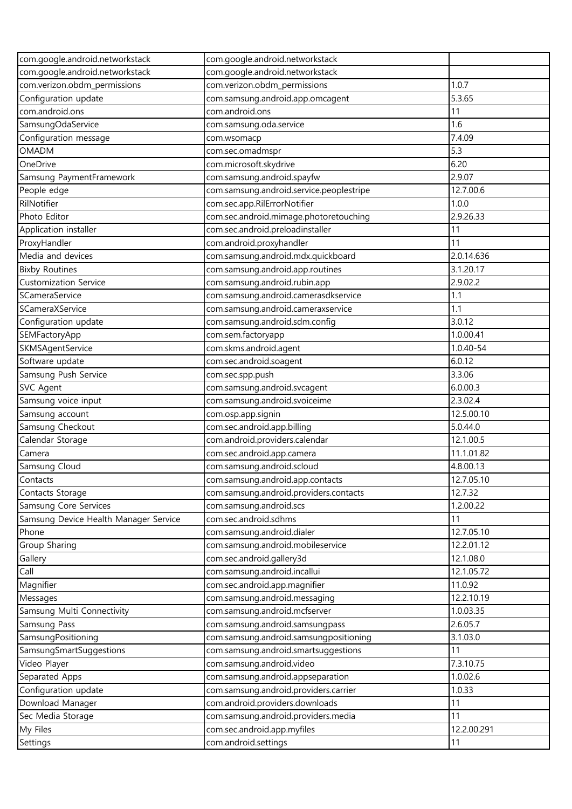| com.google.android.networkstack       | com.google.android.networkstack          |             |
|---------------------------------------|------------------------------------------|-------------|
| com.google.android.networkstack       | com.google.android.networkstack          |             |
| com.verizon.obdm_permissions          | com.verizon.obdm_permissions             | 1.0.7       |
| Configuration update                  | com.samsung.android.app.omcagent         | 5.3.65      |
| com.android.ons                       | com.android.ons                          | 11          |
| SamsungOdaService                     | com.samsung.oda.service                  | 1.6         |
| Configuration message                 | com.wsomacp                              | 7.4.09      |
| <b>OMADM</b>                          | com.sec.omadmspr                         | 5.3         |
| OneDrive                              | com.microsoft.skydrive                   | 6.20        |
| Samsung PaymentFramework              | com.samsung.android.spayfw               | 2.9.07      |
| People edge                           | com.samsung.android.service.peoplestripe | 12.7.00.6   |
| RilNotifier                           | com.sec.app.RilErrorNotifier             | 1.0.0       |
| Photo Editor                          | com.sec.android.mimage.photoretouching   | 2.9.26.33   |
| Application installer                 | com.sec.android.preloadinstaller         | 11          |
| ProxyHandler                          | com.android.proxyhandler                 | 11          |
| Media and devices                     | com.samsung.android.mdx.quickboard       | 2.0.14.636  |
| <b>Bixby Routines</b>                 | com.samsung.android.app.routines         | 3.1.20.17   |
| <b>Customization Service</b>          | com.samsung.android.rubin.app            | 2.9.02.2    |
| SCameraService                        | com.samsung.android.camerasdkservice     | 1.1         |
| SCameraXService                       | com.samsung.android.cameraxservice       | 1.1         |
| Configuration update                  | com.samsung.android.sdm.config           | 3.0.12      |
| SEMFactoryApp                         | com.sem.factoryapp                       | 1.0.00.41   |
| SKMSAgentService                      | com.skms.android.agent                   | 1.0.40-54   |
| Software update                       | com.sec.android.soagent                  | 6.0.12      |
| Samsung Push Service                  | com.sec.spp.push                         | 3.3.06      |
| <b>SVC Agent</b>                      | com.samsung.android.svcagent             | 6.0.00.3    |
| Samsung voice input                   | com.samsung.android.svoiceime            | 2.3.02.4    |
| Samsung account                       | com.osp.app.signin                       | 12.5.00.10  |
| Samsung Checkout                      | com.sec.android.app.billing              | 5.0.44.0    |
| Calendar Storage                      | com.android.providers.calendar           | 12.1.00.5   |
| Camera                                | com.sec.android.app.camera               | 11.1.01.82  |
| Samsung Cloud                         | com.samsung.android.scloud               | 4.8.00.13   |
| Contacts                              | com.samsung.android.app.contacts         | 12.7.05.10  |
| Contacts Storage                      | com.samsung.android.providers.contacts   | 12.7.32     |
| Samsung Core Services                 | com.samsung.android.scs                  | 1.2.00.22   |
| Samsung Device Health Manager Service | com.sec.android.sdhms                    | 11          |
| Phone                                 | com.samsung.android.dialer               | 12.7.05.10  |
| Group Sharing                         | com.samsung.android.mobileservice        | 12.2.01.12  |
| Gallery                               | com.sec.android.gallery3d                | 12.1.08.0   |
| Call                                  | com.samsung.android.incallui             | 12.1.05.72  |
| Magnifier                             | com.sec.android.app.magnifier            | 11.0.92     |
| Messages                              | com.samsung.android.messaging            | 12.2.10.19  |
| Samsung Multi Connectivity            | com.samsung.android.mcfserver            | 1.0.03.35   |
| Samsung Pass                          | com.samsung.android.samsungpass          | 2.6.05.7    |
| SamsungPositioning                    | com.samsung.android.samsungpositioning   | 3.1.03.0    |
| SamsungSmartSuggestions               | com.samsung.android.smartsuggestions     | 11          |
| Video Player                          | com.samsung.android.video                | 7.3.10.75   |
| Separated Apps                        | com.samsung.android.appseparation        | 1.0.02.6    |
| Configuration update                  | com.samsung.android.providers.carrier    | 1.0.33      |
| Download Manager                      | com.android.providers.downloads          | 11          |
| Sec Media Storage                     | com.samsung.android.providers.media      | 11          |
| My Files                              | com.sec.android.app.myfiles              | 12.2.00.291 |
| Settings                              | com.android.settings                     | 11          |
|                                       |                                          |             |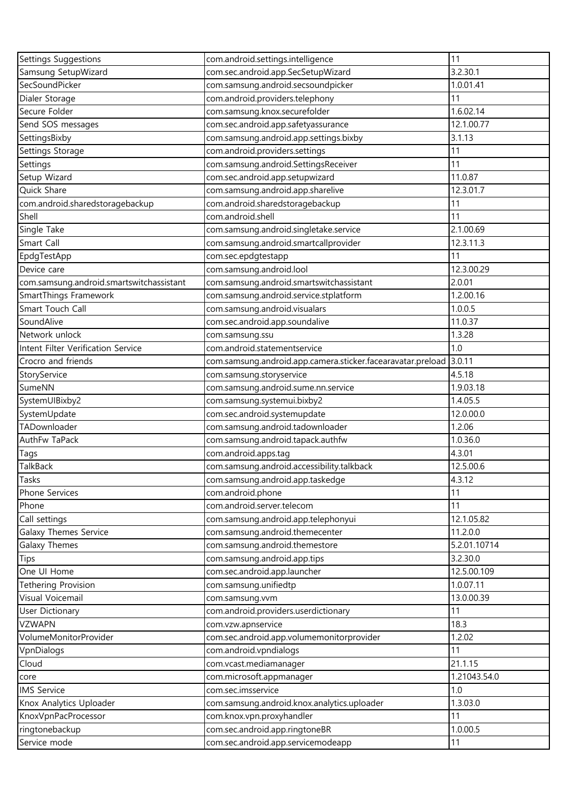| Settings Suggestions                     | com.android.settings.intelligence                           | 11           |
|------------------------------------------|-------------------------------------------------------------|--------------|
| Samsung SetupWizard                      | com.sec.android.app.SecSetupWizard                          | 3.2.30.1     |
| SecSoundPicker                           | com.samsung.android.secsoundpicker                          | 1.0.01.41    |
| Dialer Storage                           | com.android.providers.telephony                             | 11           |
| Secure Folder                            | com.samsung.knox.securefolder                               | 1.6.02.14    |
| Send SOS messages                        | com.sec.android.app.safetyassurance                         | 12.1.00.77   |
| SettingsBixby                            | com.samsung.android.app.settings.bixby                      | 3.1.13       |
| Settings Storage                         | com.android.providers.settings                              | 11           |
| Settings                                 | com.samsung.android.SettingsReceiver                        | 11           |
| Setup Wizard                             | com.sec.android.app.setupwizard                             | 11.0.87      |
| Quick Share                              | com.samsung.android.app.sharelive                           | 12.3.01.7    |
| com.android.sharedstoragebackup          | com.android.sharedstoragebackup                             | 11           |
| Shell                                    | com.android.shell                                           | 11           |
| Single Take                              | com.samsung.android.singletake.service                      | 2.1.00.69    |
| Smart Call                               | com.samsung.android.smartcallprovider                       | 12.3.11.3    |
| EpdgTestApp                              | com.sec.epdgtestapp                                         | 11           |
| Device care                              | com.samsung.android.lool                                    | 12.3.00.29   |
| com.samsung.android.smartswitchassistant | com.samsung.android.smartswitchassistant                    | 2.0.01       |
| SmartThings Framework                    | com.samsung.android.service.stplatform                      | 1.2.00.16    |
| Smart Touch Call                         | com.samsung.android.visualars                               | 1.0.0.5      |
| SoundAlive                               | com.sec.android.app.soundalive                              | 11.0.37      |
| Network unlock                           | com.samsung.ssu                                             | 1.3.28       |
| Intent Filter Verification Service       | com.android.statementservice                                | 1.0          |
| Crocro and friends                       | com.samsung.android.app.camera.sticker.facearavatar.preload | 3.0.11       |
| StoryService                             | com.samsung.storyservice                                    | 4.5.18       |
| SumeNN                                   | com.samsung.android.sume.nn.service                         | 1.9.03.18    |
| SystemUIBixby2                           | com.samsung.systemui.bixby2                                 | 1.4.05.5     |
| SystemUpdate                             | com.sec.android.systemupdate                                | 12.0.00.0    |
| TADownloader                             | com.samsung.android.tadownloader                            | 1.2.06       |
| AuthFw TaPack                            | com.samsung.android.tapack.authfw                           | 1.0.36.0     |
| Tags                                     | com.android.apps.tag                                        | 4.3.01       |
| TalkBack                                 | com.samsung.android.accessibility.talkback                  | 12.5.00.6    |
| Tasks                                    | com.samsung.android.app.taskedge                            | 4.3.12       |
| Phone Services                           | com.android.phone                                           | 11           |
| Phone                                    | com.android.server.telecom                                  | 11           |
| Call settings                            | com.samsung.android.app.telephonyui                         | 12.1.05.82   |
| Galaxy Themes Service                    | com.samsung.android.themecenter                             | 11.2.0.0     |
| Galaxy Themes                            | com.samsung.android.themestore                              | 5.2.01.10714 |
| Tips                                     | com.samsung.android.app.tips                                | 3.2.30.0     |
| One UI Home                              | com.sec.android.app.launcher                                | 12.5.00.109  |
| <b>Tethering Provision</b>               | com.samsung.unifiedtp                                       | 1.0.07.11    |
| Visual Voicemail                         | com.samsung.vvm                                             | 13.0.00.39   |
| User Dictionary                          | com.android.providers.userdictionary                        | 11           |
| <b>VZWAPN</b>                            | com.vzw.apnservice                                          | 18.3         |
| VolumeMonitorProvider                    | com.sec.android.app.volumemonitorprovider                   | 1.2.02       |
| VpnDialogs                               | com.android.vpndialogs                                      | 11           |
| Cloud                                    | com.vcast.mediamanager                                      | 21.1.15      |
| core                                     | com.microsoft.appmanager                                    | 1.21043.54.0 |
| <b>IMS</b> Service                       | com.sec.imsservice                                          | 1.0          |
| Knox Analytics Uploader                  | com.samsung.android.knox.analytics.uploader                 | 1.3.03.0     |
| KnoxVpnPacProcessor                      | com.knox.vpn.proxyhandler                                   | 11           |
| ringtonebackup                           | com.sec.android.app.ringtoneBR                              | 1.0.00.5     |
| Service mode                             | com.sec.android.app.servicemodeapp                          | 11           |
|                                          |                                                             |              |